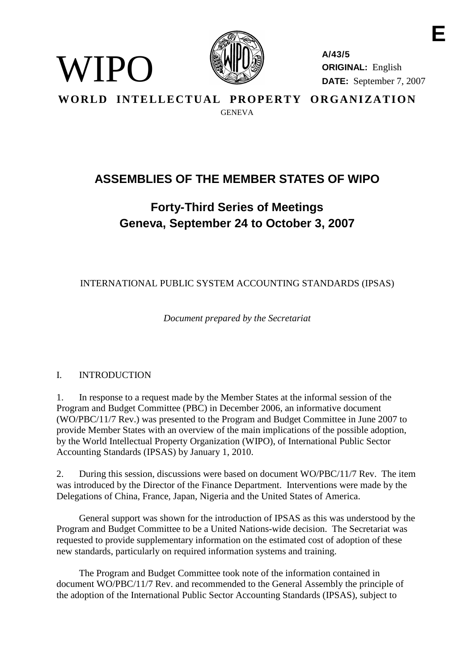

**A/43/5 ORIGINAL:** English **DATE:** September 7, 2007 **E**

WORLD INTELLECTUAL PROPERTY ORGANIZATION GENEVA

# **ASSEMBLIES OF THE MEMBER STATES OF WIPO**

# **Forty-Third Series of Meetings Geneva, September 24 to October 3, 2007**

INTERNATIONAL PUBLIC SYSTEM ACCOUNTING STANDARDS (IPSAS)

*Document prepared by the Secretariat*

# I. INTRODUCTION

WIPO)

1. In response to a request made by the Member States at the informal session of the Program and Budget Committee (PBC) in December 2006, an informative document (WO/PBC/11/7 Rev.) was presented to the Program and Budget Committee in June 2007 to provide Member States with an overview of the main implications of the possible adoption, by the World Intellectual Property Organization (WIPO), of International Public Sector Accounting Standards (IPSAS) by January 1, 2010.

2. During this session, discussions were based on document WO/PBC/11/7 Rev. The item was introduced by the Director of the Finance Department. Interventions were made by the Delegations of China, France, Japan, Nigeria and the United States of America.

General support was shown for the introduction of IPSAS as this was understood by the Program and Budget Committee to be a United Nations-wide decision. The Secretariat was requested to provide supplementary information on the estimated cost of adoption of these new standards, particularly on required information systems and training.

The Program and Budget Committee took note of the information contained in document WO/PBC/11/7 Rev. and recommended to the General Assembly the principle of the adoption of the International Public Sector Accounting Standards (IPSAS), subject to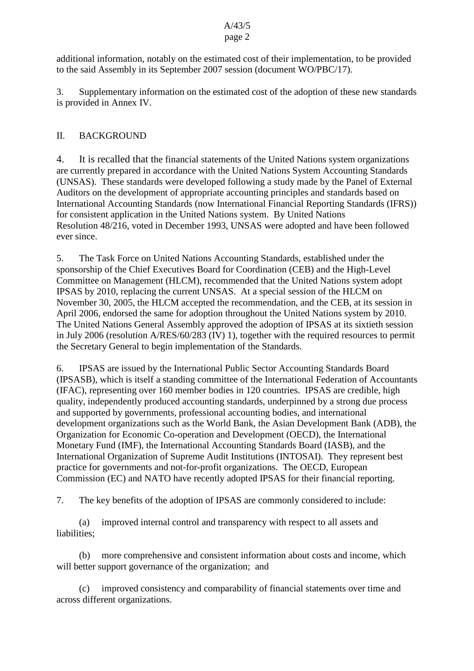# A/43/5

# page 2

additional information, notably on the estimated cost of their implementation, to be provided to the said Assembly in its September 2007 session (document WO/PBC/17).

3. Supplementary information on the estimated cost of the adoption of these new standards is provided in Annex IV.

# II. BACKGROUND

4. It is recalled that the financial statements of the United Nations system organizations are currently prepared in accordance with the United Nations System Accounting Standards (UNSAS). These standards were developed following a study made by the Panel of External Auditors on the development of appropriate accounting principles and standards based on International Accounting Standards (now International Financial Reporting Standards (IFRS)) for consistent application in the United Nations system. By United Nations Resolution 48/216, voted in December 1993, UNSAS were adopted and have been followed ever since.

5. The Task Force on United Nations Accounting Standards, established under the sponsorship of the Chief Executives Board for Coordination (CEB) and the High-Level Committee on Management (HLCM), recommended that the United Nations system adopt IPSAS by 2010, replacing the current UNSAS. At a special session of the HLCM on November 30, 2005, the HLCM accepted the recommendation, and the CEB, at its session in April 2006, endorsed the same for adoption throughout the United Nations system by 2010. The United Nations General Assembly approved the adoption of IPSAS at its sixtieth session in July 2006 (resolution A/RES/60/283 (IV) 1), together with the required resources to permit the Secretary General to begin implementation of the Standards.

6. IPSAS are issued by the International Public Sector Accounting Standards Board (IPSASB), which is itself a standing committee of the International Federation of Accountants (IFAC), representing over 160 member bodies in 120 countries. IPSAS are credible, high quality, independently produced accounting standards, underpinned by a strong due process and supported by governments, professional accounting bodies, and international development organizations such as the World Bank, the Asian Development Bank (ADB), the Organization for Economic Co-operation and Development (OECD), the International Monetary Fund (IMF), the International Accounting Standards Board (IASB), and the International Organization of Supreme Audit Institutions (INTOSAI). They represent best practice for governments and not-for-profit organizations. The OECD, European Commission (EC) and NATO have recently adopted IPSAS for their financial reporting.

7. The key benefits of the adoption of IPSAS are commonly considered to include:

(a) improved internal control and transparency with respect to all assets and liabilities;

(b) more comprehensive and consistent information about costs and income, which will better support governance of the organization; and

(c) improved consistency and comparability of financial statements over time and across different organizations.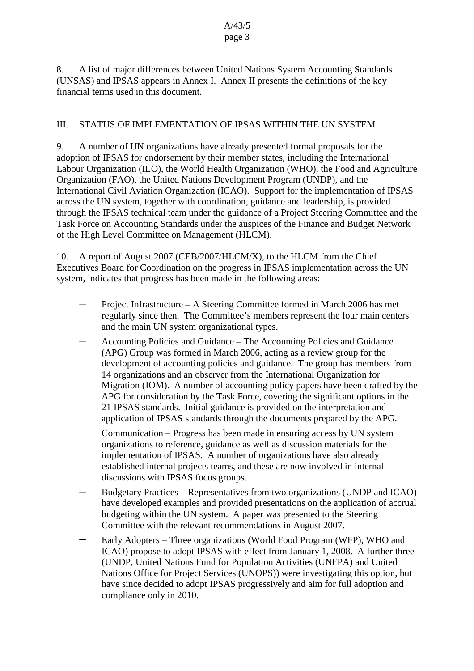8. A list of major differences between United Nations System Accounting Standards (UNSAS) and IPSAS appears in Annex I. Annex II presents the definitions of the key financial terms used in this document.

# III. STATUS OF IMPLEMENTATION OF IPSAS WITHIN THE UN SYSTEM

9. A number of UN organizations have already presented formal proposals for the adoption of IPSAS for endorsement by their member states, including the International Labour Organization (ILO), the World Health Organization (WHO), the Food and Agriculture Organization (FAO), the United Nations Development Program (UNDP), and the International Civil Aviation Organization (ICAO). Support for the implementation of IPSAS across the UN system, together with coordination, guidance and leadership, is provided through the IPSAS technical team under the guidance of a Project Steering Committee and the Task Force on Accounting Standards under the auspices of the Finance and Budget Network of the High Level Committee on Management (HLCM).

10. A report of August 2007 (CEB/2007/HLCM/X), to the HLCM from the Chief Executives Board for Coordination on the progress in IPSAS implementation across the UN system, indicates that progress has been made in the following areas:

- Project Infrastructure A Steering Committee formed in March 2006 has met regularly since then. The Committee's members represent the four main centers and the main UN system organizational types.
- Accounting Policies and Guidance The Accounting Policies and Guidance (APG) Group was formed in March 2006, acting as a review group for the development of accounting policies and guidance. The group has members from 14 organizations and an observer from the International Organization for Migration (IOM). A number of accounting policy papers have been drafted by the APG for consideration by the Task Force, covering the significant options in the 21 IPSAS standards. Initial guidance is provided on the interpretation and application of IPSAS standards through the documents prepared by the APG.
- Communication Progress has been made in ensuring access by UN system organizations to reference, guidance as well as discussion materials for the implementation of IPSAS. A number of organizations have also already established internal projects teams, and these are now involved in internal discussions with IPSAS focus groups.
- Budgetary Practices Representatives from two organizations (UNDP and ICAO) have developed examples and provided presentations on the application of accrual budgeting within the UN system. A paper was presented to the Steering Committee with the relevant recommendations in August 2007.
- Early Adopters Three organizations (World Food Program (WFP), WHO and ICAO) propose to adopt IPSAS with effect from January 1, 2008. A further three (UNDP, United Nations Fund for Population Activities (UNFPA) and United Nations Office for Project Services (UNOPS)) were investigating this option, but have since decided to adopt IPSAS progressively and aim for full adoption and compliance only in 2010.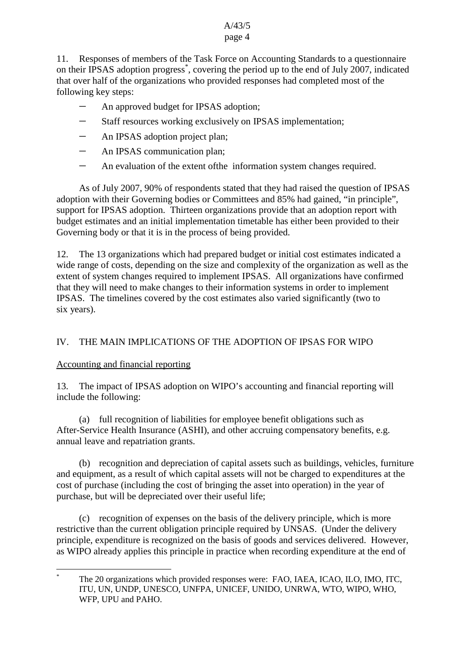# A/43/5

# page 4

11. Responses of members of the Task Force on Accounting Standards to a questionnaire on their IPSAS adoption progress<sup>\*</sup>, covering the period up to the end of July 2007, indicated that over half of the organizations who provided responses had completed most of the following key steps:

- An approved budget for IPSAS adoption;
- Staff resources working exclusively on IPSAS implementation;
- An IPSAS adoption project plan;
- An IPSAS communication plan;
- An evaluation of the extent of the information system changes required.

As of July 2007, 90% of respondents stated that they had raised the question of IPSAS adoption with their Governing bodies or Committees and 85% had gained, "in principle", support for IPSAS adoption. Thirteen organizations provide that an adoption report with budget estimates and an initial implementation timetable has either been provided to their Governing body or that it is in the process of being provided.

12. The 13 organizations which had prepared budget or initial cost estimates indicated a wide range of costs, depending on the size and complexity of the organization as well as the extent of system changes required to implement IPSAS. All organizations have confirmed that they will need to make changes to their information systems in order to implement IPSAS. The timelines covered by the cost estimates also varied significantly (two to six years).

# IV. THE MAIN IMPLICATIONS OF THE ADOPTION OF IPSAS FOR WIPO

# Accounting and financial reporting

13. The impact of IPSAS adoption on WIPO's accounting and financial reporting will include the following:

(a) full recognition of liabilities for employee benefit obligations such as After-Service Health Insurance (ASHI), and other accruing compensatory benefits, e.g. annual leave and repatriation grants.

(b) recognition and depreciation of capital assets such as buildings, vehicles, furniture and equipment, as a result of which capital assets will not be charged to expenditures at the cost of purchase (including the cost of bringing the asset into operation) in the year of purchase, but will be depreciated over their useful life;

(c) recognition of expenses on the basis of the delivery principle, which is more restrictive than the current obligation principle required by UNSAS. (Under the delivery principle, expenditure is recognized on the basis of goods and services delivered. However, as WIPO already applies this principle in practice when recording expenditure at the end of

The 20 organizations which provided responses were: FAO, IAEA, ICAO, ILO, IMO, ITC, ITU, UN, UNDP, UNESCO, UNFPA, UNICEF, UNIDO, UNRWA, WTO, WIPO, WHO, WFP, UPU and PAHO.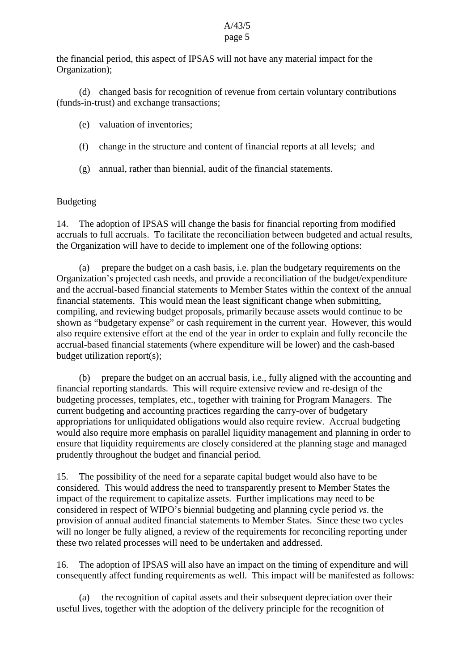#### A/43/5 page 5

the financial period, this aspect of IPSAS will not have any material impact for the Organization);

(d) changed basis for recognition of revenue from certain voluntary contributions (funds-in-trust) and exchange transactions;

- (e) valuation of inventories;
- (f) change in the structure and content of financial reports at all levels; and
- (g) annual, rather than biennial, audit of the financial statements.

# Budgeting

14. The adoption of IPSAS will change the basis for financial reporting from modified accruals to full accruals. To facilitate the reconciliation between budgeted and actual results, the Organization will have to decide to implement one of the following options:

(a) prepare the budget on a cash basis, i.e. plan the budgetary requirements on the Organization's projected cash needs, and provide a reconciliation of the budget/expenditure and the accrual-based financial statements to Member States within the context of the annual financial statements. This would mean the least significant change when submitting, compiling, and reviewing budget proposals, primarily because assets would continue to be shown as "budgetary expense" or cash requirement in the current year. However, this would also require extensive effort at the end of the year in order to explain and fully reconcile the accrual-based financial statements (where expenditure will be lower) and the cash-based budget utilization report(s);

(b) prepare the budget on an accrual basis, i.e., fully aligned with the accounting and financial reporting standards. This will require extensive review and re-design of the budgeting processes, templates, etc., together with training for Program Managers. The current budgeting and accounting practices regarding the carry-over of budgetary appropriations for unliquidated obligations would also require review. Accrual budgeting would also require more emphasis on parallel liquidity management and planning in order to ensure that liquidity requirements are closely considered at the planning stage and managed prudently throughout the budget and financial period.

15. The possibility of the need for a separate capital budget would also have to be considered. This would address the need to transparently present to Member States the impact of the requirement to capitalize assets. Further implications may need to be considered in respect of WIPO's biennial budgeting and planning cycle period *vs.* the provision of annual audited financial statements to Member States. Since these two cycles will no longer be fully aligned, a review of the requirements for reconciling reporting under these two related processes will need to be undertaken and addressed.

16. The adoption of IPSAS will also have an impact on the timing of expenditure and will consequently affect funding requirements as well. This impact will be manifested as follows:

(a) the recognition of capital assets and their subsequent depreciation over their useful lives, together with the adoption of the delivery principle for the recognition of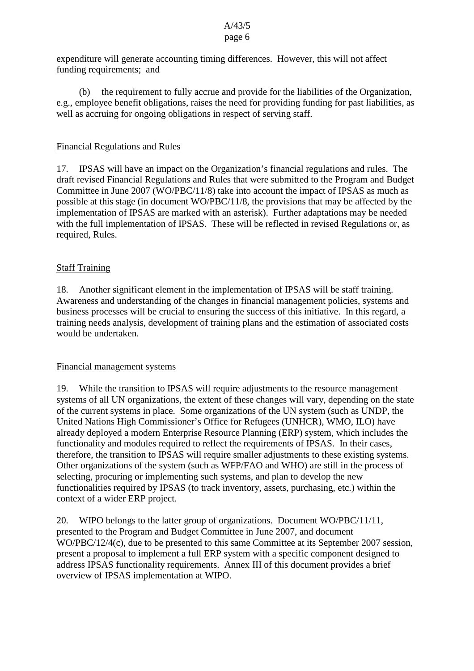#### A/43/5 page 6

expenditure will generate accounting timing differences. However, this will not affect funding requirements; and

(b) the requirement to fully accrue and provide for the liabilities of the Organization, e.g., employee benefit obligations, raises the need for providing funding for past liabilities, as well as accruing for ongoing obligations in respect of serving staff.

## Financial Regulations and Rules

17. IPSAS will have an impact on the Organization's financial regulations and rules. The draft revised Financial Regulations and Rules that were submitted to the Program and Budget Committee in June 2007 (WO/PBC/11/8) take into account the impact of IPSAS as much as possible at this stage (in document WO/PBC/11/8, the provisions that may be affected by the implementation of IPSAS are marked with an asterisk). Further adaptations may be needed with the full implementation of IPSAS. These will be reflected in revised Regulations or, as required, Rules.

# Staff Training

18. Another significant element in the implementation of IPSAS will be staff training. Awareness and understanding of the changes in financial management policies, systems and business processes will be crucial to ensuring the success of this initiative. In this regard, a training needs analysis, development of training plans and the estimation of associated costs would be undertaken.

### Financial management systems

19. While the transition to IPSAS will require adjustments to the resource management systems of all UN organizations, the extent of these changes will vary, depending on the state of the current systems in place. Some organizations of the UN system (such as UNDP, the United Nations High Commissioner's Office for Refugees (UNHCR), WMO, ILO) have already deployed a modern Enterprise Resource Planning (ERP) system, which includes the functionality and modules required to reflect the requirements of IPSAS. In their cases, therefore, the transition to IPSAS will require smaller adjustments to these existing systems. Other organizations of the system (such as WFP/FAO and WHO) are still in the process of selecting, procuring or implementing such systems, and plan to develop the new functionalities required by IPSAS (to track inventory, assets, purchasing, etc.) within the context of a wider ERP project.

20. WIPO belongs to the latter group of organizations. Document WO/PBC/11/11, presented to the Program and Budget Committee in June 2007, and document WO/PBC/12/4(c), due to be presented to this same Committee at its September 2007 session, present a proposal to implement a full ERP system with a specific component designed to address IPSAS functionality requirements. Annex III of this document provides a brief overview of IPSAS implementation at WIPO.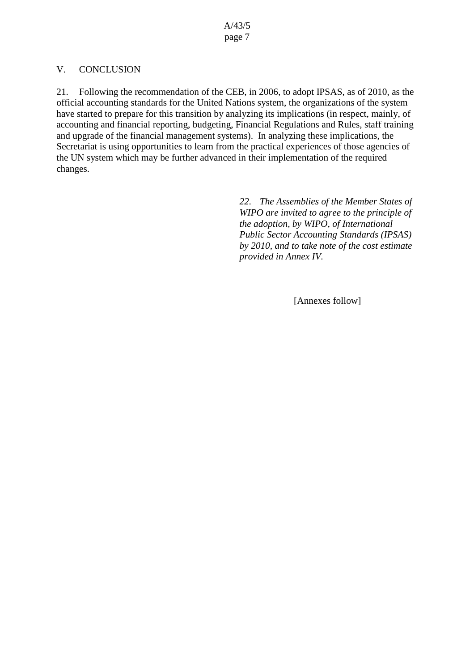# V. CONCLUSION

21. Following the recommendation of the CEB, in 2006, to adopt IPSAS, as of 2010, as the official accounting standards for the United Nations system, the organizations of the system have started to prepare for this transition by analyzing its implications (in respect, mainly, of accounting and financial reporting, budgeting, Financial Regulations and Rules, staff training and upgrade of the financial management systems). In analyzing these implications, the Secretariat is using opportunities to learn from the practical experiences of those agencies of the UN system which may be further advanced in their implementation of the required changes.

> *22. The Assemblies of the Member States of WIPO are invited to agree to the principle of the adoption, by WIPO, of International Public Sector Accounting Standards (IPSAS) by 2010, and to take note of the cost estimate provided in Annex IV.*

> > [Annexes follow]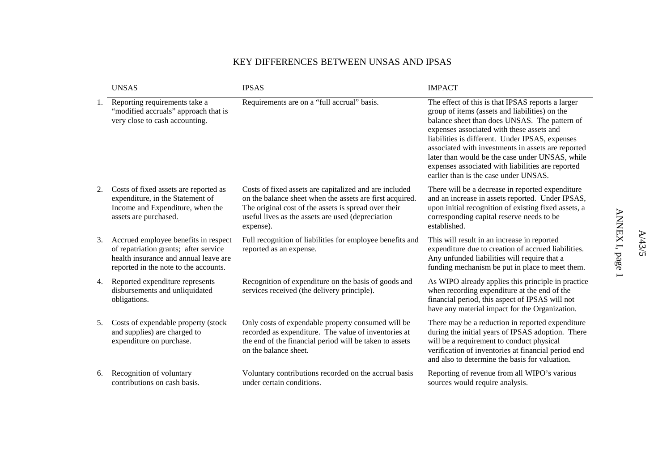#### KEY DIFFERENCES BETWEEN UNSAS AND IPSAS

|    | <b>UNSAS</b>                                                                                                                                                    | <b>IPSAS</b>                                                                                                                                                                                                                                 | <b>IMPACT</b>                                                                                                                                                                                                                                                                                                                                                                                                                                               |
|----|-----------------------------------------------------------------------------------------------------------------------------------------------------------------|----------------------------------------------------------------------------------------------------------------------------------------------------------------------------------------------------------------------------------------------|-------------------------------------------------------------------------------------------------------------------------------------------------------------------------------------------------------------------------------------------------------------------------------------------------------------------------------------------------------------------------------------------------------------------------------------------------------------|
| 1. | Reporting requirements take a<br>"modified accruals" approach that is<br>very close to cash accounting.                                                         | Requirements are on a "full accrual" basis.                                                                                                                                                                                                  | The effect of this is that IPSAS reports a larger<br>group of items (assets and liabilities) on the<br>balance sheet than does UNSAS. The pattern of<br>expenses associated with these assets and<br>liabilities is different. Under IPSAS, expenses<br>associated with investments in assets are reported<br>later than would be the case under UNSAS, while<br>expenses associated with liabilities are reported<br>earlier than is the case under UNSAS. |
| 2. | Costs of fixed assets are reported as<br>expenditure, in the Statement of<br>Income and Expenditure, when the<br>assets are purchased.                          | Costs of fixed assets are capitalized and are included<br>on the balance sheet when the assets are first acquired.<br>The original cost of the assets is spread over their<br>useful lives as the assets are used (depreciation<br>expense). | There will be a decrease in reported expenditure<br>and an increase in assets reported. Under IPSAS,<br>upon initial recognition of existing fixed assets, a<br>corresponding capital reserve needs to be<br>established.                                                                                                                                                                                                                                   |
| 3. | Accrued employee benefits in respect<br>of repatriation grants; after service<br>health insurance and annual leave are<br>reported in the note to the accounts. | Full recognition of liabilities for employee benefits and<br>reported as an expense.                                                                                                                                                         | This will result in an increase in reported<br>expenditure due to creation of accrued liabilities.<br>Any unfunded liabilities will require that a<br>funding mechanism be put in place to meet them.                                                                                                                                                                                                                                                       |
| 4. | Reported expenditure represents<br>disbursements and unliquidated<br>obligations.                                                                               | Recognition of expenditure on the basis of goods and<br>services received (the delivery principle).                                                                                                                                          | As WIPO already applies this principle in practice<br>when recording expenditure at the end of the<br>financial period, this aspect of IPSAS will not<br>have any material impact for the Organization.                                                                                                                                                                                                                                                     |
| 5. | Costs of expendable property (stock<br>and supplies) are charged to<br>expenditure on purchase.                                                                 | Only costs of expendable property consumed will be<br>recorded as expenditure. The value of inventories at<br>the end of the financial period will be taken to assets<br>on the balance sheet.                                               | There may be a reduction in reported expenditure<br>during the initial years of IPSAS adoption. There<br>will be a requirement to conduct physical<br>verification of inventories at financial period end<br>and also to determine the basis for valuation.                                                                                                                                                                                                 |
| 6. | Recognition of voluntary<br>contributions on cash basis.                                                                                                        | Voluntary contributions recorded on the accrual basis<br>under certain conditions.                                                                                                                                                           | Reporting of revenue from all WIPO's various<br>sources would require analysis.                                                                                                                                                                                                                                                                                                                                                                             |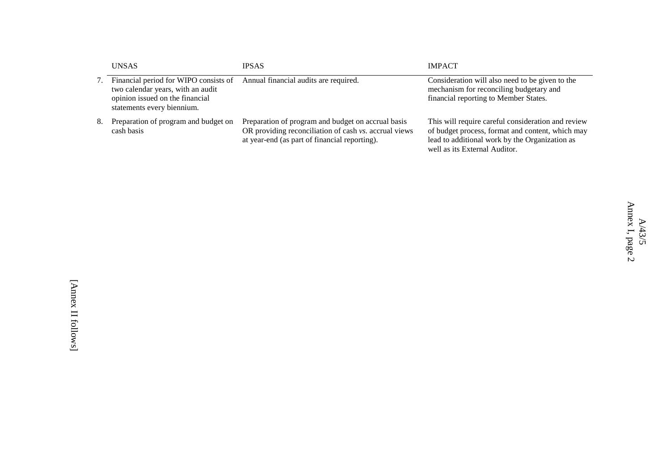|    | <b>UNSAS</b>                                                                                                                                | <b>IPSAS</b>                                                                                                                                                 | <b>IMPACT</b>                                                                                                                                                                             |
|----|---------------------------------------------------------------------------------------------------------------------------------------------|--------------------------------------------------------------------------------------------------------------------------------------------------------------|-------------------------------------------------------------------------------------------------------------------------------------------------------------------------------------------|
|    | Financial period for WIPO consists of<br>two calendar years, with an audit<br>opinion issued on the financial<br>statements every biennium. | Annual financial audits are required.                                                                                                                        | Consideration will also need to be given to the<br>mechanism for reconciling budgetary and<br>financial reporting to Member States.                                                       |
| 8. | Preparation of program and budget on<br>cash basis                                                                                          | Preparation of program and budget on accrual basis<br>OR providing reconciliation of cash vs. accrual views<br>at year-end (as part of financial reporting). | This will require careful consideration and review<br>of budget process, format and content, which may<br>lead to additional work by the Organization as<br>well as its External Auditor. |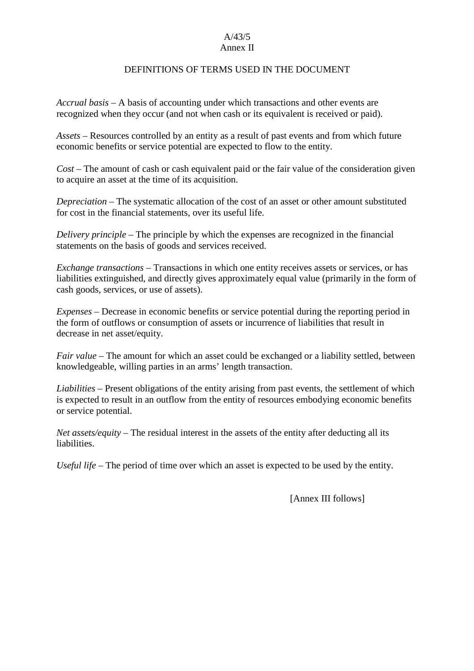#### A/43/5 Annex II

#### DEFINITIONS OF TERMS USED IN THE DOCUMENT

*Accrual basis* – A basis of accounting under which transactions and other events are recognized when they occur (and not when cash or its equivalent is received or paid).

*Assets* – Resources controlled by an entity as a result of past events and from which future economic benefits or service potential are expected to flow to the entity.

*Cost* – The amount of cash or cash equivalent paid or the fair value of the consideration given to acquire an asset at the time of its acquisition.

*Depreciation* – The systematic allocation of the cost of an asset or other amount substituted for cost in the financial statements, over its useful life.

*Delivery principle* – The principle by which the expenses are recognized in the financial statements on the basis of goods and services received.

*Exchange transactions* – Transactions in which one entity receives assets or services, or has liabilities extinguished, and directly gives approximately equal value (primarily in the form of cash goods, services, or use of assets).

*Expenses* – Decrease in economic benefits or service potential during the reporting period in the form of outflows or consumption of assets or incurrence of liabilities that result in decrease in net asset/equity.

*Fair value* – The amount for which an asset could be exchanged or a liability settled, between knowledgeable, willing parties in an arms' length transaction.

*Liabilities* – Present obligations of the entity arising from past events, the settlement of which is expected to result in an outflow from the entity of resources embodying economic benefits or service potential.

*Net assets/equity* – The residual interest in the assets of the entity after deducting all its liabilities.

*Useful life* – The period of time over which an asset is expected to be used by the entity.

[Annex III follows]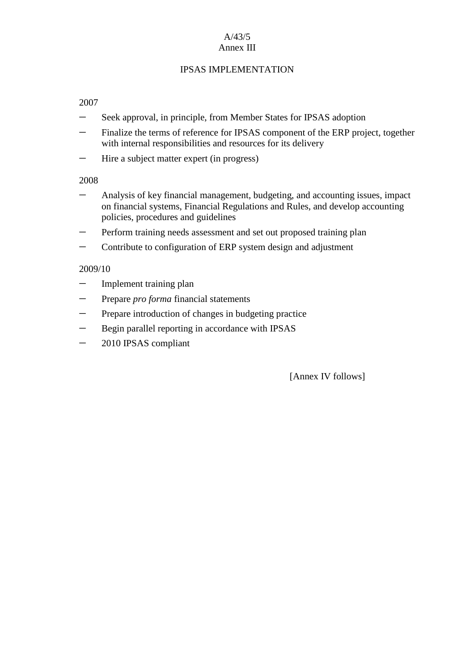#### A/43/5 Annex III

# IPSAS IMPLEMENTATION

## 2007

- Seek approval, in principle, from Member States for IPSAS adoption
- Finalize the terms of reference for IPSAS component of the ERP project, together with internal responsibilities and resources for its delivery
- Hire a subject matter expert (in progress)

2008

- Analysis of key financial management, budgeting, and accounting issues, impact on financial systems, Financial Regulations and Rules, and develop accounting policies, procedures and guidelines
- Perform training needs assessment and set out proposed training plan
- Contribute to configuration of ERP system design and adjustment

### 2009/10

- $-$  Implement training plan
- Prepare *pro forma* financial statements
- Prepare introduction of changes in budgeting practice
- Begin parallel reporting in accordance with IPSAS
- 2010 IPSAS compliant

[Annex IV follows]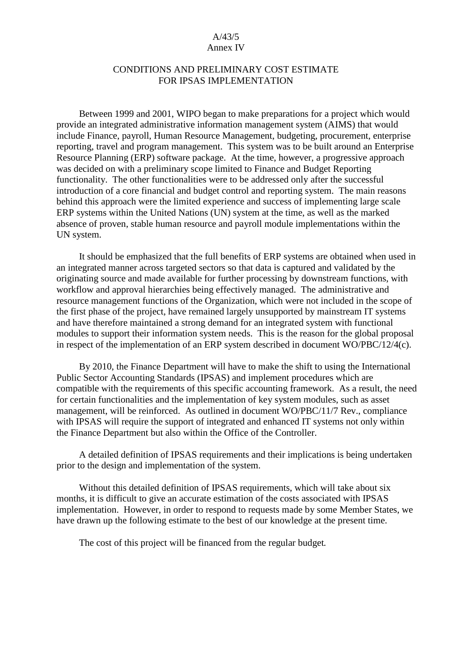#### A/43/5 Annex IV

### CONDITIONS AND PRELIMINARY COST ESTIMATE FOR IPSAS IMPLEMENTATION

Between 1999 and 2001, WIPO began to make preparations for a project which would provide an integrated administrative information management system (AIMS) that would include Finance, payroll, Human Resource Management, budgeting, procurement, enterprise reporting, travel and program management. This system was to be built around an Enterprise Resource Planning (ERP) software package. At the time, however, a progressive approach was decided on with a preliminary scope limited to Finance and Budget Reporting functionality. The other functionalities were to be addressed only after the successful introduction of a core financial and budget control and reporting system. The main reasons behind this approach were the limited experience and success of implementing large scale ERP systems within the United Nations (UN) system at the time, as well as the marked absence of proven, stable human resource and payroll module implementations within the UN system.

It should be emphasized that the full benefits of ERP systems are obtained when used in an integrated manner across targeted sectors so that data is captured and validated by the originating source and made available for further processing by downstream functions, with workflow and approval hierarchies being effectively managed. The administrative and resource management functions of the Organization, which were not included in the scope of the first phase of the project, have remained largely unsupported by mainstream IT systems and have therefore maintained a strong demand for an integrated system with functional modules to support their information system needs. This is the reason for the global proposal in respect of the implementation of an ERP system described in document WO/PBC/12/4(c).

By 2010, the Finance Department will have to make the shift to using the International Public Sector Accounting Standards (IPSAS) and implement procedures which are compatible with the requirements of this specific accounting framework. As a result, the need for certain functionalities and the implementation of key system modules, such as asset management, will be reinforced. As outlined in document WO/PBC/11/7 Rev., compliance with IPSAS will require the support of integrated and enhanced IT systems not only within the Finance Department but also within the Office of the Controller.

A detailed definition of IPSAS requirements and their implications is being undertaken prior to the design and implementation of the system.

Without this detailed definition of IPSAS requirements, which will take about six months, it is difficult to give an accurate estimation of the costs associated with IPSAS implementation. However, in order to respond to requests made by some Member States, we have drawn up the following estimate to the best of our knowledge at the present time.

The cost of this project will be financed from the regular budget*.*